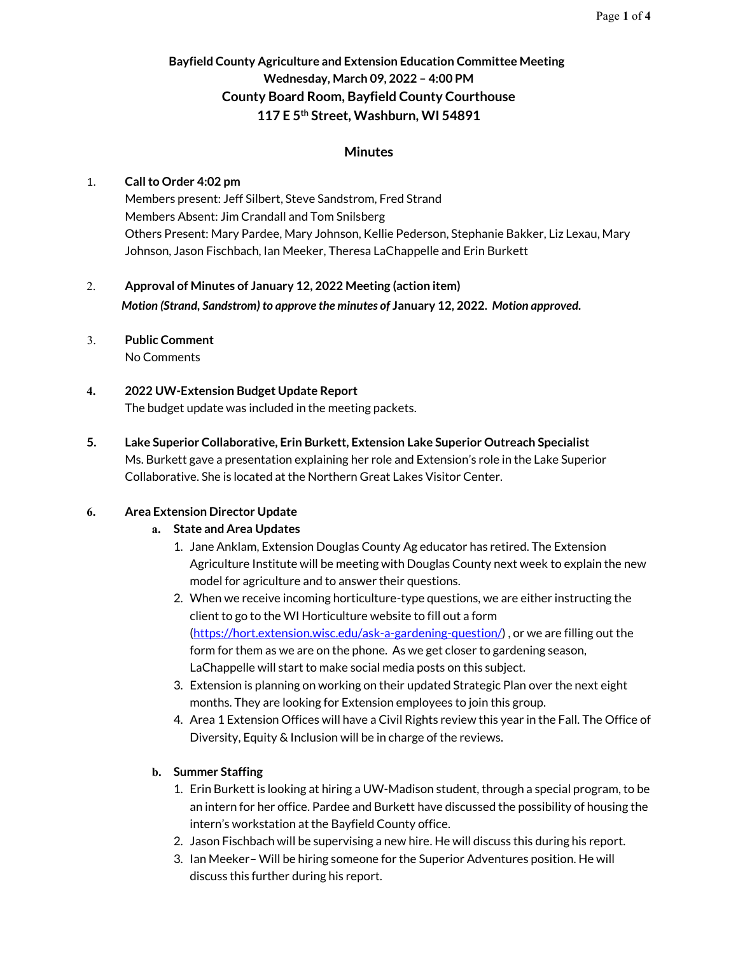# **Bayfield County Agriculture and Extension Education Committee Meeting Wednesday, March 09, 2022 – 4:00 PM County Board Room, Bayfield County Courthouse 117 E 5th Street, Washburn, WI 54891**

#### **Minutes**

#### 1. **Call to Order 4:02 pm**

Members present: Jeff Silbert, Steve Sandstrom, Fred Strand Members Absent: Jim Crandall and Tom Snilsberg Others Present: Mary Pardee, Mary Johnson, Kellie Pederson, Stephanie Bakker, Liz Lexau, Mary Johnson, Jason Fischbach, Ian Meeker, Theresa LaChappelle and Erin Burkett

2. **Approval of Minutes of January 12, 2022 Meeting (action item)** *Motion (Strand, Sandstrom) to approve the minutes of* **January 12, 2022.** *Motion approved.*

#### 3. **Public Comment**

No Comments

# **4. 2022 UW-Extension Budget Update Report**

The budget update was included in the meeting packets.

**5. Lake Superior Collaborative, Erin Burkett, Extension Lake Superior Outreach Specialist** Ms. Burkett gave a presentation explaining her role and Extension's role in the Lake Superior Collaborative. She is located at the Northern Great Lakes Visitor Center.

# **6. Area Extension Director Update**

#### **a. State and Area Updates**

- 1. Jane Anklam, Extension Douglas County Ag educator has retired. The Extension Agriculture Institute will be meeting with Douglas County next week to explain the new model for agriculture and to answer their questions.
- 2. When we receive incoming horticulture-type questions, we are either instructing the client to go to the WI Horticulture website to fill out a form [\(https://hort.extension.wisc.edu/ask-a-gardening-question/\)](https://hort.extension.wisc.edu/ask-a-gardening-question/) , or we are filling out the form for them as we are on the phone. As we get closer to gardening season, LaChappelle will start to make social media posts on this subject.
- 3. Extension is planning on working on their updated Strategic Plan over the next eight months. They are looking for Extension employees to join this group.
- 4. Area 1 Extension Offices will have a Civil Rights review this year in the Fall. The Office of Diversity, Equity & Inclusion will be in charge of the reviews.

# **b. Summer Staffing**

- 1. Erin Burkett is looking at hiring a UW-Madison student, through a special program, to be an intern for her office. Pardee and Burkett have discussed the possibility of housing the intern's workstation at the Bayfield County office.
- 2. Jason Fischbach will be supervising a new hire. He will discuss this during his report.
- 3. Ian Meeker– Will be hiring someone for the Superior Adventures position. He will discuss this further during his report.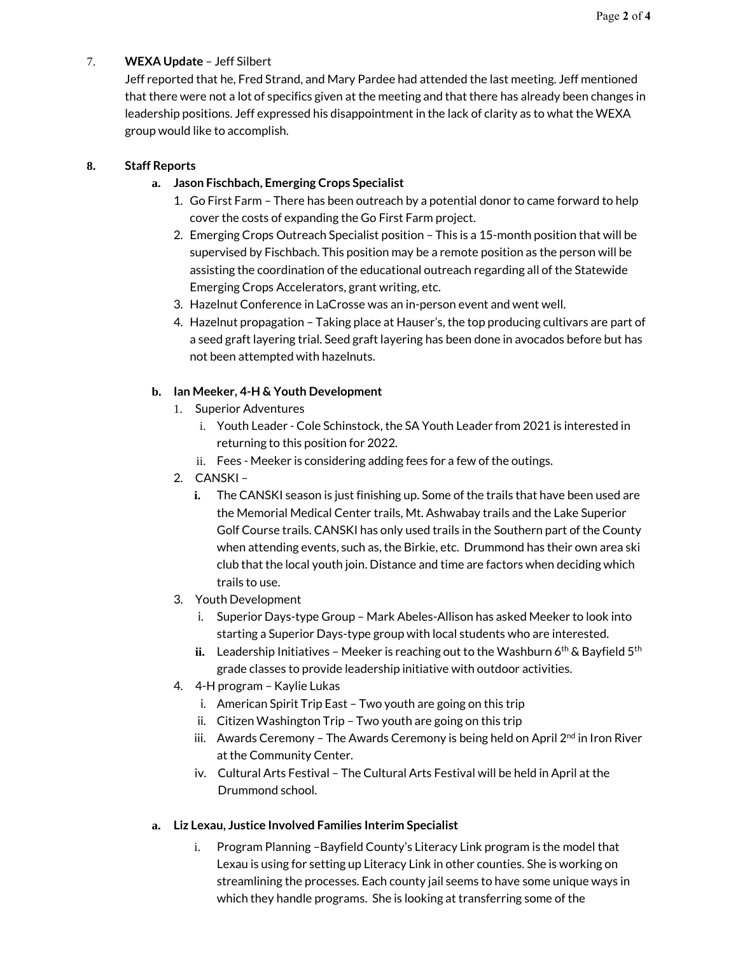### 7. **WEXA Update** – Jeff Silbert

Jeff reported that he, Fred Strand, and Mary Pardee had attended the last meeting. Jeff mentioned that there were not a lot of specifics given at the meeting and that there has already been changes in leadership positions. Jeff expressed his disappointment in the lack of clarity as to what the WEXA group would like to accomplish.

#### **8. Staff Reports**

### **a. Jason Fischbach, Emerging Crops Specialist**

- 1. Go First Farm There has been outreach by a potential donor to came forward to help cover the costs of expanding the Go First Farm project.
- 2. Emerging Crops Outreach Specialist position This is a 15-month position that will be supervised by Fischbach. This position may be a remote position as the person will be assisting the coordination of the educational outreach regarding all of the Statewide Emerging Crops Accelerators, grant writing, etc.
- 3. Hazelnut Conference in LaCrosse was an in-person event and went well.
- 4. Hazelnut propagation Taking place at Hauser's, the top producing cultivars are part of a seed graft layering trial. Seed graft layering has been done in avocados before but has not been attempted with hazelnuts.

#### **b. Ian Meeker, 4-H & Youth Development**

- 1. Superior Adventures
	- i. Youth Leader Cole Schinstock, the SA Youth Leader from 2021 is interested in returning to this position for 2022.
	- ii. Fees Meeker is considering adding fees for a few of the outings.
- 2. CANSKI
	- **i.** The CANSKI season is just finishing up. Some of the trails that have been used are the Memorial Medical Center trails, Mt. Ashwabay trails and the Lake Superior Golf Course trails. CANSKI has only used trails in the Southern part of the County when attending events, such as, the Birkie, etc. Drummond has their own area ski club that the local youth join. Distance and time are factors when deciding which trails to use.
- 3. Youth Development
	- i. Superior Days-type Group Mark Abeles-Allison has asked Meeker to look into starting a Superior Days-type group with local students who are interested.
	- ii. Leadership Initiatives Meeker is reaching out to the Washburn 6<sup>th</sup> & Bayfield 5<sup>th</sup> grade classes to provide leadership initiative with outdoor activities.
- 4. 4-H program Kaylie Lukas
	- i. American Spirit Trip East Two youth are going on this trip
	- ii. Citizen Washington Trip Two youth are going on this trip
	- iii. Awards Ceremony The Awards Ceremony is being held on April  $2<sup>nd</sup>$  in Iron River at the Community Center.
	- iv. Cultural Arts Festival The Cultural Arts Festival will be held in April at the Drummond school.

#### **a. Liz Lexau, Justice Involved Families Interim Specialist**

i. Program Planning –Bayfield County's Literacy Link program is the model that Lexau is using for setting up Literacy Link in other counties. She is working on streamlining the processes. Each county jail seems to have some unique ways in which they handle programs. She is looking at transferring some of the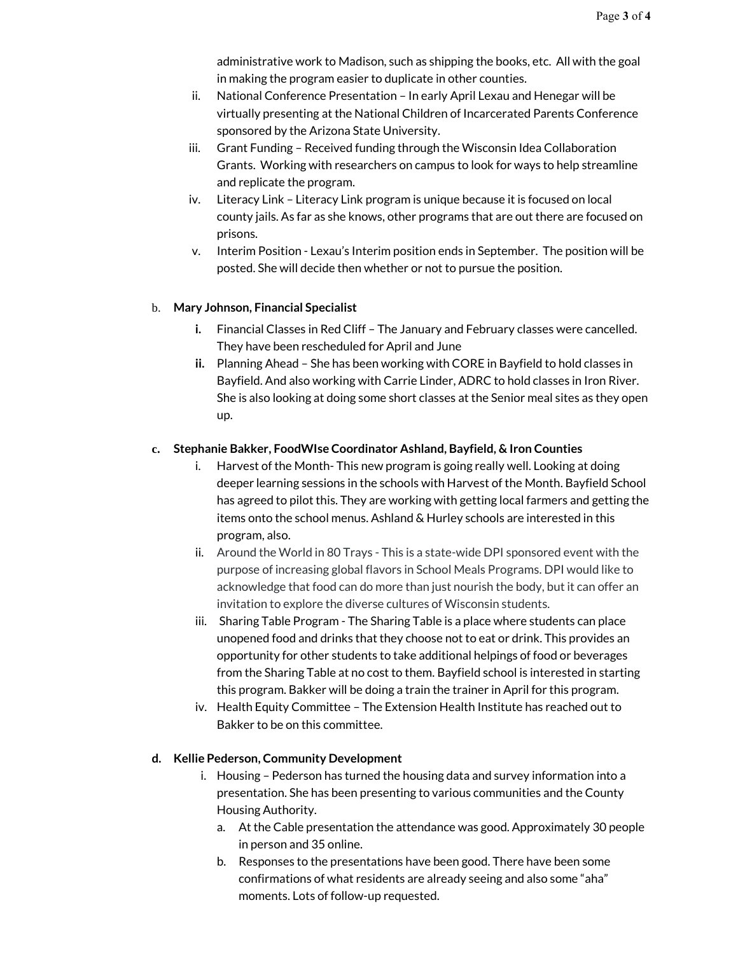administrative work to Madison, such as shipping the books, etc. All with the goal in making the program easier to duplicate in other counties.

- ii. National Conference Presentation In early April Lexau and Henegar will be virtually presenting at the National Children of Incarcerated Parents Conference sponsored by the Arizona State University.
- iii. Grant Funding Received funding through the Wisconsin Idea Collaboration Grants. Working with researchers on campus to look for ways to help streamline and replicate the program.
- iv. Literacy Link Literacy Link program is unique because it is focused on local county jails. As far as she knows, other programs that are out there are focused on prisons.
- v. Interim Position Lexau's Interim position ends in September. The position will be posted. She will decide then whether or not to pursue the position.

# b. **Mary Johnson, Financial Specialist**

- **i.** Financial Classes in Red Cliff The January and February classes were cancelled. They have been rescheduled for April and June
- **ii.** Planning Ahead She has been working with CORE in Bayfield to hold classes in Bayfield. And also working with Carrie Linder, ADRC to hold classes in Iron River. She is also looking at doing some short classes at the Senior meal sites as they open up.

#### **c. Stephanie Bakker, FoodWIse Coordinator Ashland, Bayfield, & Iron Counties**

- i. Harvest of the Month- This new program is going really well. Looking at doing deeper learning sessions in the schools with Harvest of the Month. Bayfield School has agreed to pilot this. They are working with getting local farmers and getting the items onto the school menus. Ashland & Hurley schools are interested in this program, also.
- ii. Around the World in 80 Trays This is a state-wide DPI sponsored event with the purpose of increasing global flavors in School Meals Programs. DPI would like to acknowledge that food can do more than just nourish the body, but it can offer an invitation to explore the diverse cultures of Wisconsin students.
- iii. Sharing Table Program The Sharing Table is a place where students can place unopened food and drinks that they choose not to eat or drink. This provides an opportunity for other students to take additional helpings of food or beverages from the Sharing Table at no cost to them. Bayfield school is interested in starting this program. Bakker will be doing a train the trainer in April for this program.
- iv. Health Equity Committee The Extension Health Institute has reached out to Bakker to be on this committee.

#### **d. Kellie Pederson, Community Development**

- i. Housing Pederson has turned the housing data and survey information into a presentation. She has been presenting to various communities and the County Housing Authority.
	- a. At the Cable presentation the attendance was good. Approximately 30 people in person and 35 online.
	- b. Responses to the presentations have been good. There have been some confirmations of what residents are already seeing and also some "aha" moments. Lots of follow-up requested.